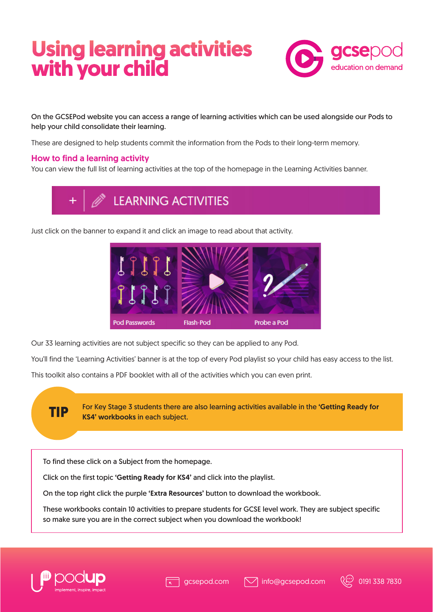# **Using learning activities with your child**



On the GCSEPod website you can access a range of learning activities which can be used alongside our Pods to help your child consolidate their learning.

These are designed to help students commit the information from the Pods to their long-term memory.

### How to find a learning activity

You can view the full list of learning activities at the top of the homepage in the Learning Activities banner.



Just click on the banner to expand it and click an image to read about that activity.



Our 33 learning activities are not subject specific so they can be applied to any Pod.

You'll find the 'Learning Activities' banner is at the top of every Pod playlist so your child has easy access to the list.

This toolkit also contains a PDF booklet with all of the activities which you can even print.

For Key Stage 3 students there are also learning activities available in the 'Getting Ready for KS4' workbooks in each subject.

To find these click on a Subject from the homepage.

Click on the first topic 'Getting Ready for KS4' and click into the playlist.

On the top right click the purple 'Extra Resources' button to download the workbook.

These workbooks contain 10 activities to prepare students for GCSE level work. They are subject specific so make sure you are in the correct subject when you download the workbook!